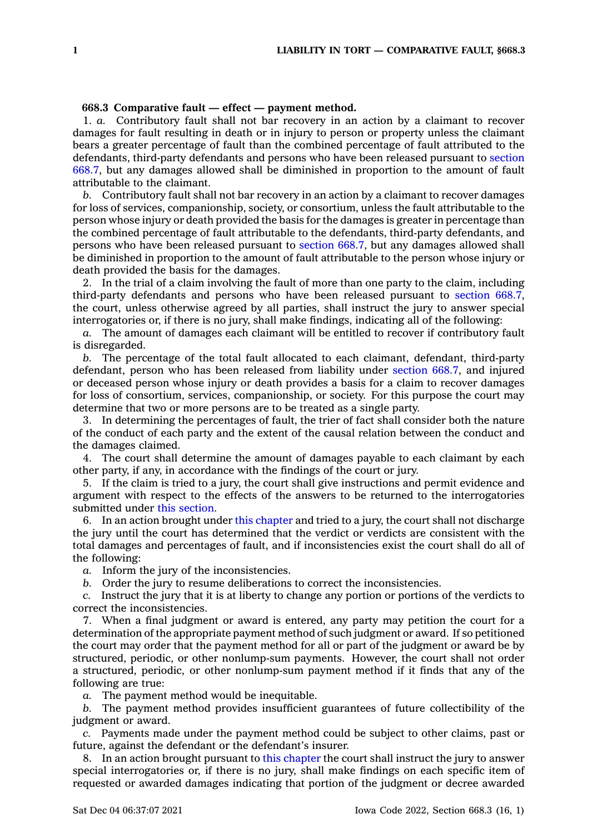## **668.3 Comparative fault — effect —payment method.**

1. *a.* Contributory fault shall not bar recovery in an action by <sup>a</sup> claimant to recover damages for fault resulting in death or in injury to person or property unless the claimant bears <sup>a</sup> greater percentage of fault than the combined percentage of fault attributed to the defendants, third-party defendants and persons who have been released pursuant to [section](https://www.legis.iowa.gov/docs/code/668.7.pdf) [668.7](https://www.legis.iowa.gov/docs/code/668.7.pdf), but any damages allowed shall be diminished in proportion to the amount of fault attributable to the claimant.

*b.* Contributory fault shall not bar recovery in an action by <sup>a</sup> claimant to recover damages for loss of services, companionship, society, or consortium, unless the fault attributable to the person whose injury or death provided the basis for the damages is greater in percentage than the combined percentage of fault attributable to the defendants, third-party defendants, and persons who have been released pursuant to [section](https://www.legis.iowa.gov/docs/code/668.7.pdf) 668.7, but any damages allowed shall be diminished in proportion to the amount of fault attributable to the person whose injury or death provided the basis for the damages.

2. In the trial of <sup>a</sup> claim involving the fault of more than one party to the claim, including third-party defendants and persons who have been released pursuant to [section](https://www.legis.iowa.gov/docs/code/668.7.pdf) 668.7, the court, unless otherwise agreed by all parties, shall instruct the jury to answer special interrogatories or, if there is no jury, shall make findings, indicating all of the following:

*a.* The amount of damages each claimant will be entitled to recover if contributory fault is disregarded.

*b.* The percentage of the total fault allocated to each claimant, defendant, third-party defendant, person who has been released from liability under [section](https://www.legis.iowa.gov/docs/code/668.7.pdf) 668.7, and injured or deceased person whose injury or death provides <sup>a</sup> basis for <sup>a</sup> claim to recover damages for loss of consortium, services, companionship, or society. For this purpose the court may determine that two or more persons are to be treated as <sup>a</sup> single party.

3. In determining the percentages of fault, the trier of fact shall consider both the nature of the conduct of each party and the extent of the causal relation between the conduct and the damages claimed.

4. The court shall determine the amount of damages payable to each claimant by each other party, if any, in accordance with the findings of the court or jury.

5. If the claim is tried to <sup>a</sup> jury, the court shall give instructions and permit evidence and argument with respect to the effects of the answers to be returned to the interrogatories submitted under this [section](https://www.legis.iowa.gov/docs/code/668.3.pdf).

6. In an action brought under this [chapter](https://www.legis.iowa.gov/docs/code//668.pdf) and tried to <sup>a</sup> jury, the court shall not discharge the jury until the court has determined that the verdict or verdicts are consistent with the total damages and percentages of fault, and if inconsistencies exist the court shall do all of the following:

*a.* Inform the jury of the inconsistencies.

*b.* Order the jury to resume deliberations to correct the inconsistencies.

*c.* Instruct the jury that it is at liberty to change any portion or portions of the verdicts to correct the inconsistencies.

7. When <sup>a</sup> final judgment or award is entered, any party may petition the court for <sup>a</sup> determination of the appropriate payment method of such judgment or award. If so petitioned the court may order that the payment method for all or part of the judgment or award be by structured, periodic, or other nonlump-sum payments. However, the court shall not order <sup>a</sup> structured, periodic, or other nonlump-sum payment method if it finds that any of the following are true:

*a.* The payment method would be inequitable.

*b.* The payment method provides insufficient guarantees of future collectibility of the judgment or award.

*c.* Payments made under the payment method could be subject to other claims, past or future, against the defendant or the defendant's insurer.

8. In an action brought pursuant to this [chapter](https://www.legis.iowa.gov/docs/code//668.pdf) the court shall instruct the jury to answer special interrogatories or, if there is no jury, shall make findings on each specific item of requested or awarded damages indicating that portion of the judgment or decree awarded